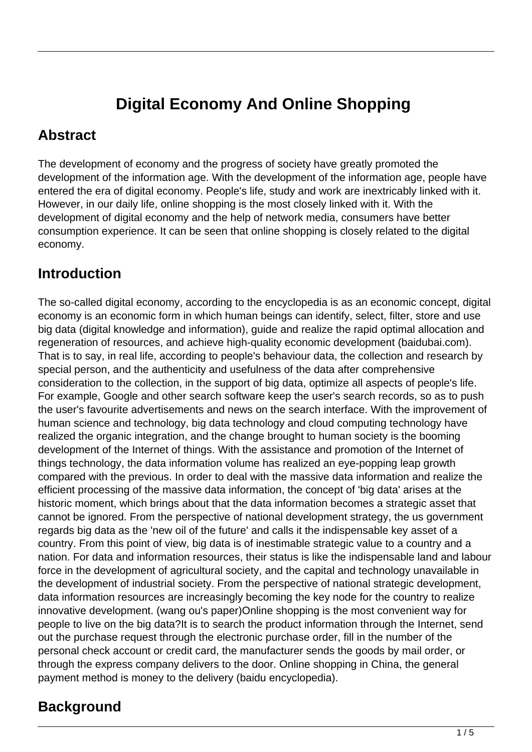# **Digital Economy And Online Shopping**

#### **Abstract**

The development of economy and the progress of society have greatly promoted the development of the information age. With the development of the information age, people have entered the era of digital economy. People's life, study and work are inextricably linked with it. However, in our daily life, online shopping is the most closely linked with it. With the development of digital economy and the help of network media, consumers have better consumption experience. It can be seen that online shopping is closely related to the digital economy.

### **Introduction**

The so-called digital economy, according to the encyclopedia is as an economic concept, digital economy is an economic form in which human beings can identify, select, filter, store and use big data (digital knowledge and information), guide and realize the rapid optimal allocation and regeneration of resources, and achieve high-quality economic development (baidubai.com). That is to say, in real life, according to people's behaviour data, the collection and research by special person, and the authenticity and usefulness of the data after comprehensive consideration to the collection, in the support of big data, optimize all aspects of people's life. For example, Google and other search software keep the user's search records, so as to push the user's favourite advertisements and news on the search interface. With the improvement of human science and technology, big data technology and cloud computing technology have realized the organic integration, and the change brought to human society is the booming development of the Internet of things. With the assistance and promotion of the Internet of things technology, the data information volume has realized an eye-popping leap growth compared with the previous. In order to deal with the massive data information and realize the efficient processing of the massive data information, the concept of 'big data' arises at the historic moment, which brings about that the data information becomes a strategic asset that cannot be ignored. From the perspective of national development strategy, the us government regards big data as the 'new oil of the future' and calls it the indispensable key asset of a country. From this point of view, big data is of inestimable strategic value to a country and a nation. For data and information resources, their status is like the indispensable land and labour force in the development of agricultural society, and the capital and technology unavailable in the development of industrial society. From the perspective of national strategic development, data information resources are increasingly becoming the key node for the country to realize innovative development. (wang ou's paper)Online shopping is the most convenient way for people to live on the big data?It is to search the product information through the Internet, send out the purchase request through the electronic purchase order, fill in the number of the personal check account or credit card, the manufacturer sends the goods by mail order, or through the express company delivers to the door. Online shopping in China, the general payment method is money to the delivery (baidu encyclopedia).

# **Background**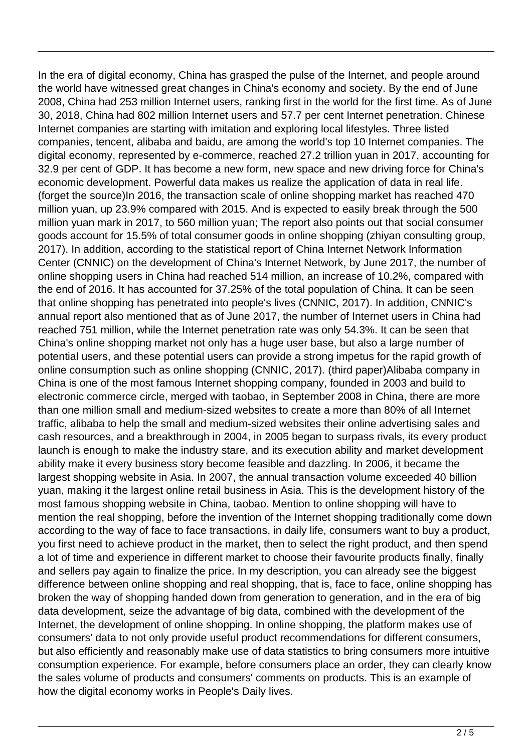In the era of digital economy, China has grasped the pulse of the Internet, and people around the world have witnessed great changes in China's economy and society. By the end of June 2008, China had 253 million Internet users, ranking first in the world for the first time. As of June 30, 2018, China had 802 million Internet users and 57.7 per cent Internet penetration. Chinese Internet companies are starting with imitation and exploring local lifestyles. Three listed companies, tencent, alibaba and baidu, are among the world's top 10 Internet companies. The digital economy, represented by e-commerce, reached 27.2 trillion yuan in 2017, accounting for 32.9 per cent of GDP. It has become a new form, new space and new driving force for China's economic development. Powerful data makes us realize the application of data in real life. (forget the source)In 2016, the transaction scale of online shopping market has reached 470 million yuan, up 23.9% compared with 2015. And is expected to easily break through the 500 million yuan mark in 2017, to 560 million yuan; The report also points out that social consumer goods account for 15.5% of total consumer goods in online shopping (zhiyan consulting group, 2017). In addition, according to the statistical report of China Internet Network Information Center (CNNIC) on the development of China's Internet Network, by June 2017, the number of online shopping users in China had reached 514 million, an increase of 10.2%, compared with the end of 2016. It has accounted for 37.25% of the total population of China. It can be seen that online shopping has penetrated into people's lives (CNNIC, 2017). In addition, CNNIC's annual report also mentioned that as of June 2017, the number of Internet users in China had reached 751 million, while the Internet penetration rate was only 54.3%. It can be seen that China's online shopping market not only has a huge user base, but also a large number of potential users, and these potential users can provide a strong impetus for the rapid growth of online consumption such as online shopping (CNNIC, 2017). (third paper)Alibaba company in China is one of the most famous Internet shopping company, founded in 2003 and build to electronic commerce circle, merged with taobao, in September 2008 in China, there are more than one million small and medium-sized websites to create a more than 80% of all Internet traffic, alibaba to help the small and medium-sized websites their online advertising sales and cash resources, and a breakthrough in 2004, in 2005 began to surpass rivals, its every product launch is enough to make the industry stare, and its execution ability and market development ability make it every business story become feasible and dazzling. In 2006, it became the largest shopping website in Asia. In 2007, the annual transaction volume exceeded 40 billion yuan, making it the largest online retail business in Asia. This is the development history of the most famous shopping website in China, taobao. Mention to online shopping will have to mention the real shopping, before the invention of the Internet shopping traditionally come down according to the way of face to face transactions, in daily life, consumers want to buy a product, you first need to achieve product in the market, then to select the right product, and then spend a lot of time and experience in different market to choose their favourite products finally, finally and sellers pay again to finalize the price. In my description, you can already see the biggest difference between online shopping and real shopping, that is, face to face, online shopping has broken the way of shopping handed down from generation to generation, and in the era of big data development, seize the advantage of big data, combined with the development of the Internet, the development of online shopping. In online shopping, the platform makes use of consumers' data to not only provide useful product recommendations for different consumers, but also efficiently and reasonably make use of data statistics to bring consumers more intuitive consumption experience. For example, before consumers place an order, they can clearly know the sales volume of products and consumers' comments on products. This is an example of how the digital economy works in People's Daily lives.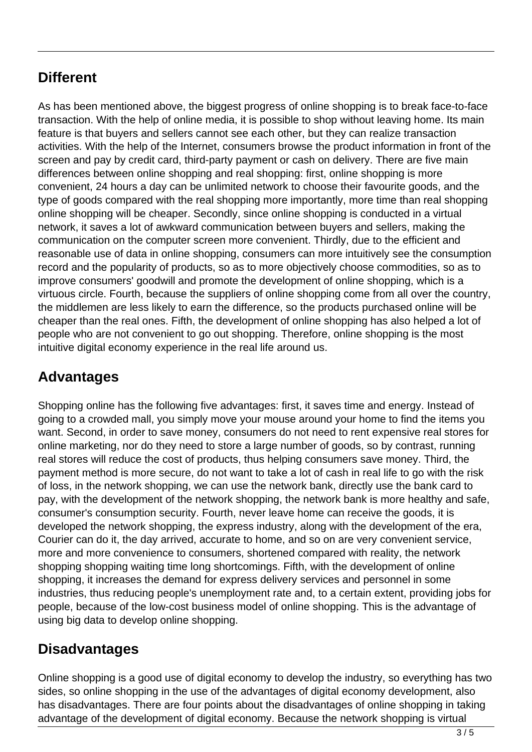#### **Different**

As has been mentioned above, the biggest progress of online shopping is to break face-to-face transaction. With the help of online media, it is possible to shop without leaving home. Its main feature is that buyers and sellers cannot see each other, but they can realize transaction activities. With the help of the Internet, consumers browse the product information in front of the screen and pay by credit card, third-party payment or cash on delivery. There are five main differences between online shopping and real shopping: first, online shopping is more convenient, 24 hours a day can be unlimited network to choose their favourite goods, and the type of goods compared with the real shopping more importantly, more time than real shopping online shopping will be cheaper. Secondly, since online shopping is conducted in a virtual network, it saves a lot of awkward communication between buyers and sellers, making the communication on the computer screen more convenient. Thirdly, due to the efficient and reasonable use of data in online shopping, consumers can more intuitively see the consumption record and the popularity of products, so as to more objectively choose commodities, so as to improve consumers' goodwill and promote the development of online shopping, which is a virtuous circle. Fourth, because the suppliers of online shopping come from all over the country, the middlemen are less likely to earn the difference, so the products purchased online will be cheaper than the real ones. Fifth, the development of online shopping has also helped a lot of people who are not convenient to go out shopping. Therefore, online shopping is the most intuitive digital economy experience in the real life around us.

# **Advantages**

Shopping online has the following five advantages: first, it saves time and energy. Instead of going to a crowded mall, you simply move your mouse around your home to find the items you want. Second, in order to save money, consumers do not need to rent expensive real stores for online marketing, nor do they need to store a large number of goods, so by contrast, running real stores will reduce the cost of products, thus helping consumers save money. Third, the payment method is more secure, do not want to take a lot of cash in real life to go with the risk of loss, in the network shopping, we can use the network bank, directly use the bank card to pay, with the development of the network shopping, the network bank is more healthy and safe, consumer's consumption security. Fourth, never leave home can receive the goods, it is developed the network shopping, the express industry, along with the development of the era, Courier can do it, the day arrived, accurate to home, and so on are very convenient service, more and more convenience to consumers, shortened compared with reality, the network shopping shopping waiting time long shortcomings. Fifth, with the development of online shopping, it increases the demand for express delivery services and personnel in some industries, thus reducing people's unemployment rate and, to a certain extent, providing jobs for people, because of the low-cost business model of online shopping. This is the advantage of using big data to develop online shopping.

#### **Disadvantages**

Online shopping is a good use of digital economy to develop the industry, so everything has two sides, so online shopping in the use of the advantages of digital economy development, also has disadvantages. There are four points about the disadvantages of online shopping in taking advantage of the development of digital economy. Because the network shopping is virtual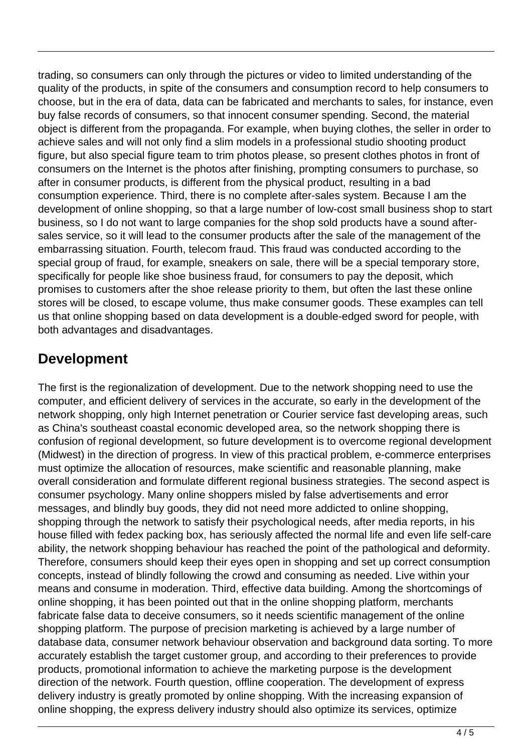trading, so consumers can only through the pictures or video to limited understanding of the quality of the products, in spite of the consumers and consumption record to help consumers to choose, but in the era of data, data can be fabricated and merchants to sales, for instance, even buy false records of consumers, so that innocent consumer spending. Second, the material object is different from the propaganda. For example, when buying clothes, the seller in order to achieve sales and will not only find a slim models in a professional studio shooting product figure, but also special figure team to trim photos please, so present clothes photos in front of consumers on the Internet is the photos after finishing, prompting consumers to purchase, so after in consumer products, is different from the physical product, resulting in a bad consumption experience. Third, there is no complete after-sales system. Because I am the development of online shopping, so that a large number of low-cost small business shop to start business, so I do not want to large companies for the shop sold products have a sound aftersales service, so it will lead to the consumer products after the sale of the management of the embarrassing situation. Fourth, telecom fraud. This fraud was conducted according to the special group of fraud, for example, sneakers on sale, there will be a special temporary store, specifically for people like shoe business fraud, for consumers to pay the deposit, which promises to customers after the shoe release priority to them, but often the last these online stores will be closed, to escape volume, thus make consumer goods. These examples can tell us that online shopping based on data development is a double-edged sword for people, with both advantages and disadvantages.

### **Development**

The first is the regionalization of development. Due to the network shopping need to use the computer, and efficient delivery of services in the accurate, so early in the development of the network shopping, only high Internet penetration or Courier service fast developing areas, such as China's southeast coastal economic developed area, so the network shopping there is confusion of regional development, so future development is to overcome regional development (Midwest) in the direction of progress. In view of this practical problem, e-commerce enterprises must optimize the allocation of resources, make scientific and reasonable planning, make overall consideration and formulate different regional business strategies. The second aspect is consumer psychology. Many online shoppers misled by false advertisements and error messages, and blindly buy goods, they did not need more addicted to online shopping, shopping through the network to satisfy their psychological needs, after media reports, in his house filled with fedex packing box, has seriously affected the normal life and even life self-care ability, the network shopping behaviour has reached the point of the pathological and deformity. Therefore, consumers should keep their eyes open in shopping and set up correct consumption concepts, instead of blindly following the crowd and consuming as needed. Live within your means and consume in moderation. Third, effective data building. Among the shortcomings of online shopping, it has been pointed out that in the online shopping platform, merchants fabricate false data to deceive consumers, so it needs scientific management of the online shopping platform. The purpose of precision marketing is achieved by a large number of database data, consumer network behaviour observation and background data sorting. To more accurately establish the target customer group, and according to their preferences to provide products, promotional information to achieve the marketing purpose is the development direction of the network. Fourth question, offline cooperation. The development of express delivery industry is greatly promoted by online shopping. With the increasing expansion of online shopping, the express delivery industry should also optimize its services, optimize